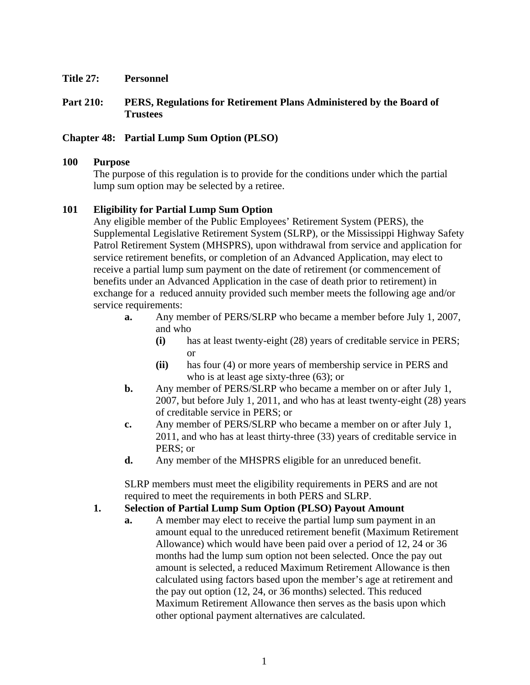**Title 27: Personnel** 

### **Part 210: PERS, Regulations for Retirement Plans Administered by the Board of Trustees**

### **Chapter 48: Partial Lump Sum Option (PLSO)**

#### **100 Purpose**

The purpose of this regulation is to provide for the conditions under which the partial lump sum option may be selected by a retiree.

### **101 Eligibility for Partial Lump Sum Option**

Any eligible member of the Public Employees' Retirement System (PERS), the Supplemental Legislative Retirement System (SLRP), or the Mississippi Highway Safety Patrol Retirement System (MHSPRS), upon withdrawal from service and application for service retirement benefits, or completion of an Advanced Application, may elect to receive a partial lump sum payment on the date of retirement (or commencement of benefits under an Advanced Application in the case of death prior to retirement) in exchange for a reduced annuity provided such member meets the following age and/or service requirements:

- **a.** Any member of PERS/SLRP who became a member before July 1, 2007, and who
	- **(i)** has at least twenty-eight (28) years of creditable service in PERS; or
	- **(ii)** has four (4) or more years of membership service in PERS and who is at least age sixty-three (63); or
- **b.** Any member of PERS/SLRP who became a member on or after July 1, 2007, but before July 1, 2011, and who has at least twenty-eight (28) years of creditable service in PERS; or
- **c.** Any member of PERS/SLRP who became a member on or after July 1, 2011, and who has at least thirty-three (33) years of creditable service in PERS; or
- **d.** Any member of the MHSPRS eligible for an unreduced benefit.

SLRP members must meet the eligibility requirements in PERS and are not required to meet the requirements in both PERS and SLRP.

### **1. Selection of Partial Lump Sum Option (PLSO) Payout Amount**

**a.** A member may elect to receive the partial lump sum payment in an amount equal to the unreduced retirement benefit (Maximum Retirement Allowance) which would have been paid over a period of 12, 24 or 36 months had the lump sum option not been selected. Once the pay out amount is selected, a reduced Maximum Retirement Allowance is then calculated using factors based upon the member's age at retirement and the pay out option (12, 24, or 36 months) selected. This reduced Maximum Retirement Allowance then serves as the basis upon which other optional payment alternatives are calculated.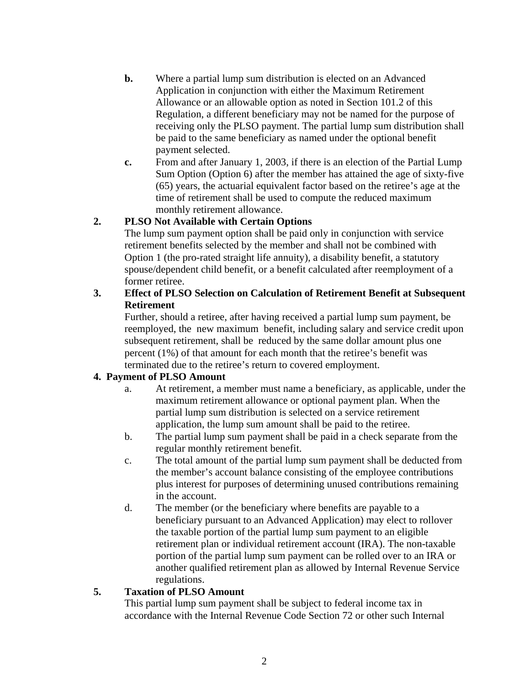- **b.** Where a partial lump sum distribution is elected on an Advanced Application in conjunction with either the Maximum Retirement Allowance or an allowable option as noted in Section 101.2 of this Regulation, a different beneficiary may not be named for the purpose of receiving only the PLSO payment. The partial lump sum distribution shall be paid to the same beneficiary as named under the optional benefit payment selected.
- **c.** From and after January 1, 2003, if there is an election of the Partial Lump Sum Option (Option 6) after the member has attained the age of sixty-five (65) years, the actuarial equivalent factor based on the retiree's age at the time of retirement shall be used to compute the reduced maximum monthly retirement allowance.

## **2. PLSO Not Available with Certain Options**

The lump sum payment option shall be paid only in conjunction with service retirement benefits selected by the member and shall not be combined with Option 1 (the pro-rated straight life annuity), a disability benefit, a statutory spouse/dependent child benefit, or a benefit calculated after reemployment of a former retiree.

### **3. Effect of PLSO Selection on Calculation of Retirement Benefit at Subsequent Retirement**

Further, should a retiree, after having received a partial lump sum payment, be reemployed, the new maximum benefit, including salary and service credit upon subsequent retirement, shall be reduced by the same dollar amount plus one percent (1%) of that amount for each month that the retiree's benefit was terminated due to the retiree's return to covered employment.

### **4. Payment of PLSO Amount**

- a. At retirement, a member must name a beneficiary, as applicable, under the maximum retirement allowance or optional payment plan. When the partial lump sum distribution is selected on a service retirement application, the lump sum amount shall be paid to the retiree.
- b. The partial lump sum payment shall be paid in a check separate from the regular monthly retirement benefit.
- c. The total amount of the partial lump sum payment shall be deducted from the member's account balance consisting of the employee contributions plus interest for purposes of determining unused contributions remaining in the account.
- d. The member (or the beneficiary where benefits are payable to a beneficiary pursuant to an Advanced Application) may elect to rollover the taxable portion of the partial lump sum payment to an eligible retirement plan or individual retirement account (IRA). The non-taxable portion of the partial lump sum payment can be rolled over to an IRA or another qualified retirement plan as allowed by Internal Revenue Service regulations.

# **5. Taxation of PLSO Amount**

This partial lump sum payment shall be subject to federal income tax in accordance with the Internal Revenue Code Section 72 or other such Internal